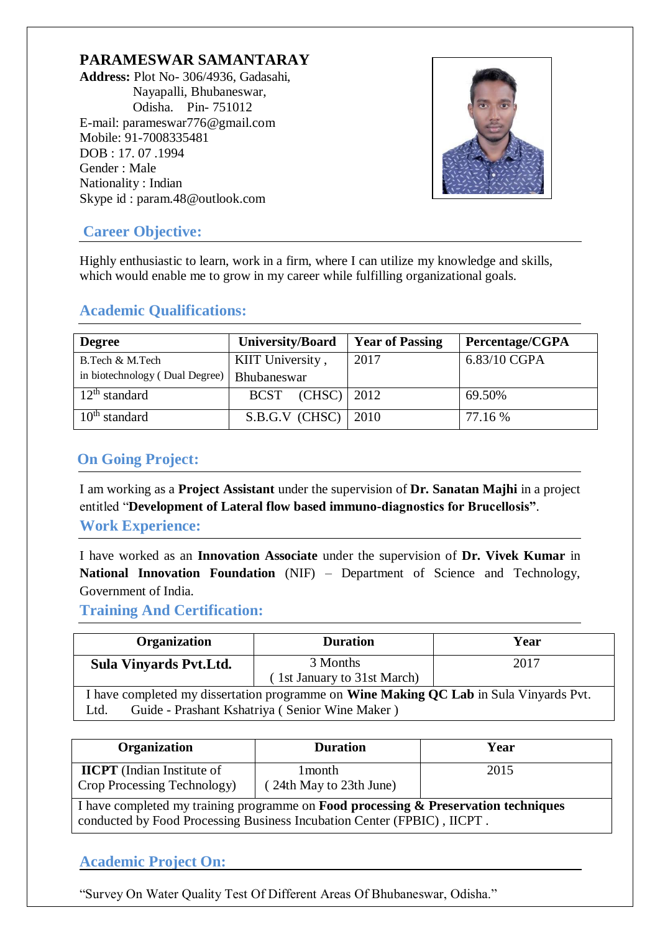## **PARAMESWAR SAMANTARAY**

**Address:** Plot No- 306/4936, Gadasahi, Nayapalli, Bhubaneswar, Odisha. Pin- 751012 E[-mail: parameswar776@gmail.com](mailto:parameswar776@gmail.com) Mobile: 91-7008335481 DOB : 17. 07 .1994 Gender : Male Nationality : Indian Skype [id : param.48@outlook.com](mailto:param.48@outlook.com)



## **Career Objective:**

Highly enthusiastic to learn, work in a firm, where I can utilize my knowledge and skills, which would enable me to grow in my career while fulfilling organizational goals.

| <b>Degree</b>                  | <b>University/Board</b> | <b>Year of Passing</b> | Percentage/CGPA |
|--------------------------------|-------------------------|------------------------|-----------------|
| B.Tech & M.Tech                | KIIT University,        | 2017                   | 6.83/10 CGPA    |
| in biotechnology (Dual Degree) | <b>Bhubaneswar</b>      |                        |                 |
| $12th$ standard                | $BCST$ (CHSC)   2012    |                        | 69.50%          |
| $10th$ standard                | $S.B.G.V$ (CHSC)   2010 |                        | 77.16 %         |

## **Academic Qualifications:**

# **On Going Project:**

I am working as a **Project Assistant** under the supervision of **Dr. Sanatan Majhi** in a project entitled "**Development of Lateral flow based immuno-diagnostics for Brucellosis"**. **Work Experience:**

I have worked as an **Innovation Associate** under the supervision of **Dr. Vivek Kumar** in **National Innovation Foundation** (NIF) – Department of Science and Technology, Government of India.

## **Training And Certification:**

| Organization                                                                                                                                            | <b>Duration</b>                         | Year |  |  |
|---------------------------------------------------------------------------------------------------------------------------------------------------------|-----------------------------------------|------|--|--|
| Sula Vinyards Pvt. Ltd.                                                                                                                                 | 3 Months<br>(1st January to 31st March) | 2017 |  |  |
| I have completed my dissertation programme on <b>Wine Making QC Lab</b> in Sula Vinyards Pvt.<br>Guide - Prashant Kshatriya (Senior Wine Maker)<br>Ltd. |                                         |      |  |  |

| Organization                                                     | <b>Duration</b>                     | Year                       |
|------------------------------------------------------------------|-------------------------------------|----------------------------|
| <b>IICPT</b> (Indian Institute of<br>Crop Processing Technology) | l month-<br>(24th May to 23th June) | 2015                       |
|                                                                  | $\overline{\phantom{a}}$            | $\sim$ $\sim$<br>$\cdot$ . |

I have completed my training programme on **Food processing & Preservation techniques** conducted by Food Processing Business Incubation Center (FPBIC) , IICPT .

## **Academic Project On:**

"Survey On Water Quality Test Of Different Areas Of Bhubaneswar, Odisha."